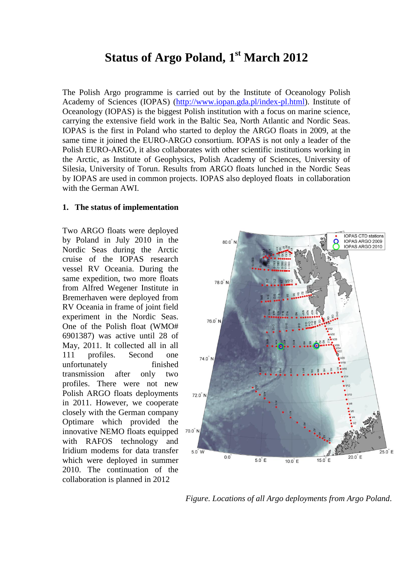# **Status of Argo Poland, 1 st March 2012**

The Polish Argo programme is carried out by the Institute of Oceanology Polish Academy of Sciences (IOPAS) [\(http://www.iopan.gda.pl/index-pl.html\)](http://www.iopan.gda.pl/index-pl.html). Institute of Oceanology (IOPAS) is the biggest Polish institution with a focus on marine science, carrying the extensive field work in the Baltic Sea, North Atlantic and Nordic Seas. IOPAS is the first in Poland who started to deploy the ARGO floats in 2009, at the same time it joined the EURO-ARGO consortium. IOPAS is not only a leader of the Polish EURO-ARGO, it also collaborates with other scientific institutions working in the Arctic, as Institute of Geophysics, Polish Academy of Sciences, University of Silesia, University of Torun. Results from ARGO floats lunched in the Nordic Seas by IOPAS are used in common projects. IOPAS also deployed floats in collaboration with the German AWI.

#### **1. The status of implementation**

Two ARGO floats were deployed by Poland in July 2010 in the Nordic Seas during the Arctic cruise of the IOPAS research vessel RV Oceania. During the same expedition, two more floats from Alfred Wegener Institute in Bremerhaven were deployed from RV Oceania in frame of joint field experiment in the Nordic Seas. One of the Polish float (WMO# 6901387) was active until 28 of May, 2011. It collected all in all 111 profiles. Second one unfortunately finished transmission after only two profiles. There were not new Polish ARGO floats deployments in 2011. However, we cooperate closely with the German company Optimare which provided the innovative NEMO floats equipped with RAFOS technology and Iridium modems for data transfer which were deployed in summer 2010. The continuation of the collaboration is planned in 2012



*Figure. Locations of all Argo deployments from Argo Poland*.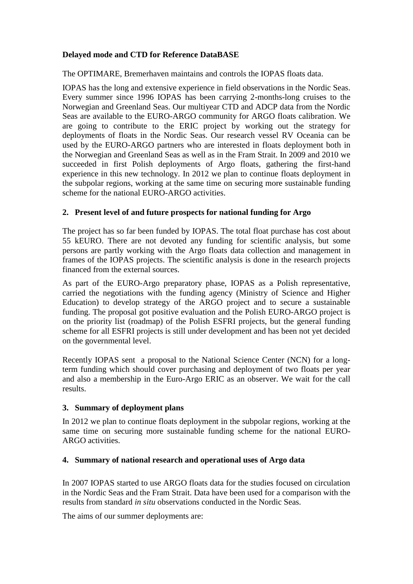# **Delayed mode and CTD for Reference DataBASE**

The OPTIMARE, Bremerhaven maintains and controls the IOPAS floats data.

IOPAS has the long and extensive experience in field observations in the Nordic Seas. Every summer since 1996 IOPAS has been carrying 2-months-long cruises to the Norwegian and Greenland Seas. Our multiyear CTD and ADCP data from the Nordic Seas are available to the EURO-ARGO community for ARGO floats calibration. We are going to contribute to the ERIC project by working out the strategy for deployments of floats in the Nordic Seas. Our research vessel RV Oceania can be used by the EURO-ARGO partners who are interested in floats deployment both in the Norwegian and Greenland Seas as well as in the Fram Strait. In 2009 and 2010 we succeeded in first Polish deployments of Argo floats, gathering the first-hand experience in this new technology. In 2012 we plan to continue floats deployment in the subpolar regions, working at the same time on securing more sustainable funding scheme for the national EURO-ARGO activities.

# **2. Present level of and future prospects for national funding for Argo**

The project has so far been funded by IOPAS. The total float purchase has cost about 55 kEURO. There are not devoted any funding for scientific analysis, but some persons are partly working with the Argo floats data collection and management in frames of the IOPAS projects. The scientific analysis is done in the research projects financed from the external sources.

As part of the EURO-Argo preparatory phase, IOPAS as a Polish representative, carried the negotiations with the funding agency (Ministry of Science and Higher Education) to develop strategy of the ARGO project and to secure a sustainable funding. The proposal got positive evaluation and the Polish EURO-ARGO project is on the priority list (roadmap) of the Polish ESFRI projects, but the general funding scheme for all ESFRI projects is still under development and has been not yet decided on the governmental level.

Recently IOPAS sent a proposal to the National Science Center (NCN) for a longterm funding which should cover purchasing and deployment of two floats per year and also a membership in the Euro-Argo ERIC as an observer. We wait for the call results.

## **3. Summary of deployment plans**

In 2012 we plan to continue floats deployment in the subpolar regions, working at the same time on securing more sustainable funding scheme for the national EURO-ARGO activities.

# **4. Summary of national research and operational uses of Argo data**

In 2007 IOPAS started to use ARGO floats data for the studies focused on circulation in the Nordic Seas and the Fram Strait. Data have been used for a comparison with the results from standard *in situ* observations conducted in the Nordic Seas.

The aims of our summer deployments are: